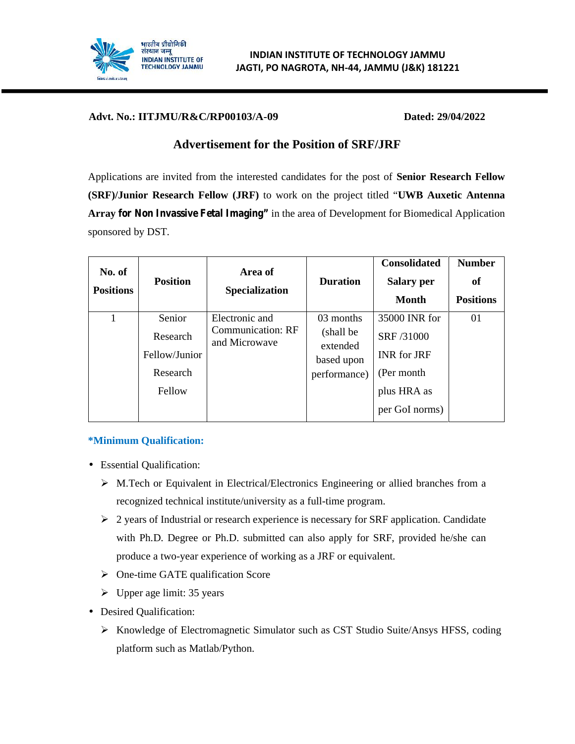

#### **Advt. No.: IITJMU/R&C/RP00103/A-09 Dated: 29/04/2022**

# **Advertisement for the Position of SRF/JRF**

Applications are invited from the interested candidates for the post of **Senior Research Fellow (SRF)/Junior Research Fellow (JRF)** to work on the project titled "**UWB Auxetic Antenna Array for Non Invassive Fetal Imaging"** in the area of Development for Biomedical Application sponsored by DST.

| No. of<br><b>Positions</b> | <b>Position</b> | Area of<br><b>Specialization</b>   | <b>Duration</b>                     | <b>Consolidated</b><br><b>Salary per</b><br><b>Month</b> | <b>Number</b><br>of<br><b>Positions</b> |
|----------------------------|-----------------|------------------------------------|-------------------------------------|----------------------------------------------------------|-----------------------------------------|
| 1                          | Senior          | Electronic and                     | 03 months                           | 35000 INR for                                            | 01                                      |
|                            | Research        | Communication: RF<br>and Microwave | (shall be<br>extended<br>based upon | SRF /31000                                               |                                         |
|                            | Fellow/Junior   |                                    |                                     | <b>INR</b> for JRF                                       |                                         |
|                            | Research        |                                    | performance)                        | (Per month)                                              |                                         |
|                            | Fellow          |                                    |                                     | plus HRA as                                              |                                         |
|                            |                 |                                    |                                     | per GoI norms)                                           |                                         |

# **\*Minimum Qualification:**

Essential Qualification:

- $\triangleright$  M.Tech or Equivalent in Electrical/Electronics Engineering or allied branches from a recognized technical institute/university as a full-time program.
- $\geq 2$  years of Industrial or research experience is necessary for SRF application. Candidate with Ph.D. Degree or Ph.D. submitted can also apply for SRF, provided he/she can produce a two-year experience of working as a JRF or equivalent.
- $\triangleright$  One-time GATE qualification Score
- $\triangleright$  Upper age limit: 35 years
- Desired Qualification:
	- Knowledge of Electromagnetic Simulator such as CST Studio Suite/Ansys HFSS, coding platform such as Matlab/Python.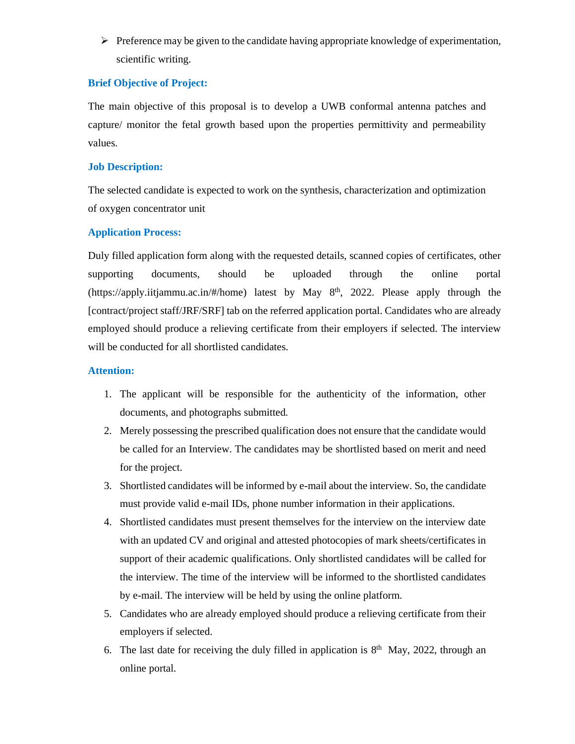$\triangleright$  Preference may be given to the candidate having appropriate knowledge of experimentation, scientific writing.

#### **Brief Objective of Project:**

The main objective of this proposal is to develop a UWB conformal antenna patches and capture/ monitor the fetal growth based upon the properties permittivity and permeability values.

## **Job Description:**

The selected candidate is expected to work on the synthesis, characterization and optimization of oxygen concentrator unit

# **Application Process:**

Duly filled application form along with the requested details, scanned copies of certificates, other supporting documents, should be uploaded through the online portal (https://apply.iitjammu.ac.in/#/home) latest by May 8<sup>th</sup>, 2022. Please apply through the [contract/project staff/JRF/SRF] tab on the referred application portal. Candidates who are already employed should produce a relieving certificate from their employers if selected. The interview will be conducted for all shortlisted candidates.

## **Attention:**

- 1. The applicant will be responsible for the authenticity of the information, other documents, and photographs submitted.
- 2. Merely possessing the prescribed qualification does not ensure that the candidate would be called for an Interview. The candidates may be shortlisted based on merit and need for the project.
- 3. Shortlisted candidates will be informed by e-mail about the interview. So, the candidate must provide valid e-mail IDs, phone number information in their applications.
- 4. Shortlisted candidates must present themselves for the interview on the interview date with an updated CV and original and attested photocopies of mark sheets/certificates in support of their academic qualifications. Only shortlisted candidates will be called for the interview. The time of the interview will be informed to the shortlisted candidates by e-mail. The interview will be held by using the online platform.
- 5. Candidates who are already employed should produce a relieving certificate from their employers if selected.
- 6. The last date for receiving the duly filled in application is  $8<sup>th</sup>$  May, 2022, through an online portal.